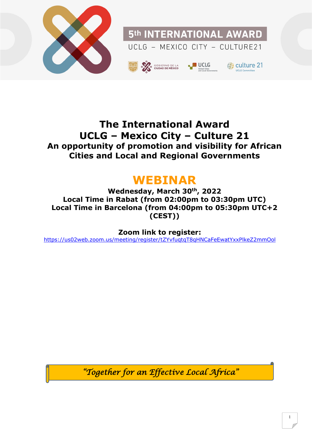

### **The International Award UCLG – Mexico City – Culture 21 An opportunity of promotion and visibility for African Cities and Local and Regional Governments**

## **WEBINAR**

**Wednesday, March 30th , 2022 Local Time in Rabat (from 02:00pm to 03:30pm UTC) Local Time in Barcelona (from 04:00pm to 05:30pm UTC+2 (CEST))** 

**Zoom link to register:**

<https://us02web.zoom.us/meeting/register/tZYvfuqtqT8qHNCaFeEwatYxxPlkeZ2mmOol>

*"Together for an Effective Local Africa"*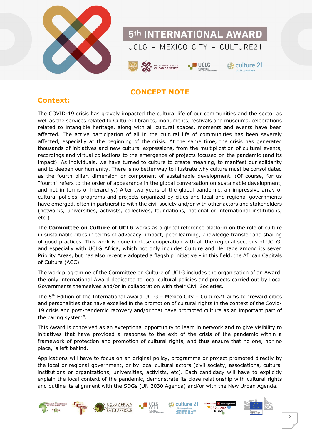



#### **CONCEPT NOTE**

#### **Context:**

The COVID-19 crisis has gravely impacted the cultural life of our communities and the sector as well as the services related to Culture: libraries, monuments, festivals and museums, celebrations related to intangible heritage, along with all cultural spaces, moments and events have been affected. The active participation of all in the cultural life of communities has been severely affected, especially at the beginning of the crisis. At the same time, the crisis has generated thousands of initiatives and new cultural expressions, from the multiplication of cultural events, recordings and virtual collections to the emergence of projects focused on the pandemic (and its impact). As individuals, we have turned to culture to create meaning, to manifest our solidarity and to deepen our humanity. There is no better way to illustrate why culture must be consolidated as the fourth pillar, dimension or component of sustainable development. (Of course, for us "fourth" refers to the order of appearance in the global conversation on sustainable development, and not in terms of hierarchy.) After two years of the global pandemic, an impressive array of cultural policies, programs and projects organized by cities and local and regional governments have emerged, often in partnership with the civil society and/or with other actors and stakeholders (networks, universities, activists, collectives, foundations, national or international institutions, etc.).

The **Committee on Culture of UCLG** works as a global reference platform on the role of culture in sustainable cities in terms of advocacy, impact, peer learning, knowledge transfer and sharing of good practices. This work is done in close cooperation with all the regional sections of UCLG, and especially with UCLG Africa, which not only includes Culture and Heritage among its seven Priority Areas, but has also recently adopted a flagship initiative – in this field, the African Capitals of Culture (ACC).

The work programme of the Committee on Culture of UCLG includes the organisation of an Award, the only international Award dedicated to local cultural policies and projects carried out by Local Governments themselves and/or in collaboration with their Civil Societies.

The  $5<sup>th</sup>$  Edition of the International Award UCLG – Mexico City – Culture21 aims to "reward cities and personalities that have excelled in the promotion of cultural rights in the context of the Covid-19 crisis and post-pandemic recovery and/or that have promoted culture as an important part of the caring system".

This Award is conceived as an exceptional opportunity to learn in network and to give visibility to initiatives that have provided a response to the exit of the crisis of the pandemic within a framework of protection and promotion of cultural rights, and thus ensure that no one, nor no place, is left behind.

Applications will have to focus on an original policy, programme or project promoted directly by the local or regional government, or by local cultural actors (civil society, associations, cultural institutions or organizations, universities, activists, etc). Each candidacy will have to explicitly explain the local context of the pandemic, demonstrate its close relationship with cultural rights and outline its alignment with the SDGs (UN 2030 Agenda) and/or with the New Urban Agenda.

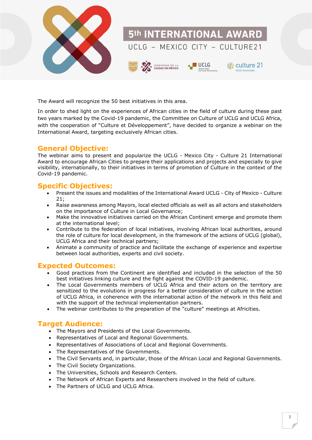

The Award will recognize the 50 best initiatives in this area.

In order to shed light on the experiences of African cities in the field of culture during these past two years marked by the Covid-19 pandemic, the Committee on Culture of UCLG and UCLG Africa, with the cooperation of "Culture et Développement", have decided to organize a webinar on the International Award, targeting exclusively African cities.

#### **General Objective:**

The webinar aims to present and popularize the UCLG - Mexico City - Culture 21 International Award to encourage African Cities to prepare their applications and projects and especially to give visibility, internationally, to their initiatives in terms of promotion of Culture in the context of the Covid-19 pandemic.

#### **Specific Objectives:**

- Present the issues and modalities of the International Award UCLG City of Mexico Culture  $21:$
- Raise awareness among Mayors, local elected officials as well as all actors and stakeholders on the importance of Culture in Local Governance;
- Make the innovative initiatives carried on the African Continent emerge and promote them at the international level;
- Contribute to the federation of local initiatives, involving African local authorities, around the role of culture for local development, in the framework of the actions of UCLG (global), UCLG Africa and their technical partners;
- Animate a community of practice and facilitate the exchange of experience and expertise between local authorities, experts and civil society.

#### **Expected Outcomes:**

- Good practices from the Continent are identified and included in the selection of the 50 best initiatives linking culture and the fight against the COVID-19 pandemic.
- The Local Governments members of UCLG Africa and their actors on the territory are sensitized to the evolutions in progress for a better consideration of culture in the action of UCLG Africa, in coherence with the international action of the network in this field and with the support of the technical implementation partners.
- The webinar contributes to the preparation of the "culture" meetings at Africities.

#### **Target Audience:**

- The Mayors and Presidents of the Local Governments.
- Representatives of Local and Regional Governments.
- Representatives of Associations of Local and Regional Governments.
- The Representatives of the Governments.
- The Civil Servants and, in particular, those of the African Local and Regional Governments.
- The Civil Society Organizations.
- The Universities, Schools and Research Centers.
- The Network of African Experts and Researchers involved in the field of culture.
- The Partners of UCLG and UCLG Africa.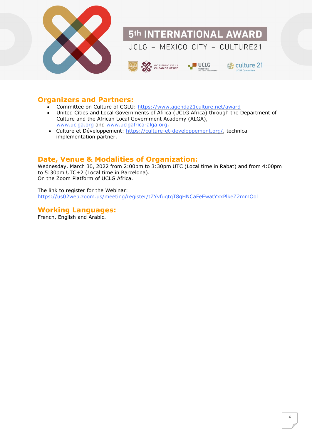

#### **Organizers and Partners:**

- Committee on Culture of CGLU:<https://www.agenda21culture.net/award>
- United Cities and Local Governments of Africa (UCLG Africa) through the Department of Culture and the African Local Government Academy (ALGA), [www.uclga.org](http://www.uclga.org/) and [www.uclgafrica-alga.org,](http://www.uclgafrica-alga.org/)
- Culture et Développement: [https://culture-et-developpement.org/,](https://culture-et-developpement.org/) technical implementation partner.

#### **Date, Venue & Modalities of Organization:**

Wednesday, March 30, 2022 from 2:00pm to 3:30pm UTC (Local time in Rabat) and from 4:00pm to 5:30pm UTC+2 (Local time in Barcelona). On the Zoom Platform of UCLG Africa.

The link to register for the Webinar: <https://us02web.zoom.us/meeting/register/tZYvfuqtqT8qHNCaFeEwatYxxPlkeZ2mmOol>

#### **Working Languages:**

French, English and Arabic.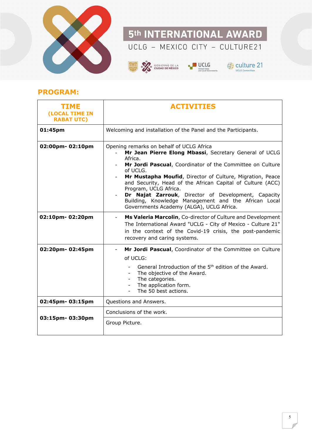

# 5th INTERNATIONAL AWARD

## UCLG - MEXICO CITY - CULTURE21







#### **PROGRAM:**

| <b>TIME</b><br>(LOCAL TIME IN<br><b>RABAT UTC)</b> | <b>ACTIVITIES</b>                                                                                                                                                                                                                                                                                                                                                                                                                                                                                                                 |
|----------------------------------------------------|-----------------------------------------------------------------------------------------------------------------------------------------------------------------------------------------------------------------------------------------------------------------------------------------------------------------------------------------------------------------------------------------------------------------------------------------------------------------------------------------------------------------------------------|
| 01:45pm                                            | Welcoming and installation of the Panel and the Participants.                                                                                                                                                                                                                                                                                                                                                                                                                                                                     |
| 02:00pm-02:10pm                                    | Opening remarks on behalf of UCLG Africa<br>Mr Jean Pierre Elong Mbassi, Secretary General of UCLG<br>Africa.<br>Mr Jordi Pascual, Coordinator of the Committee on Culture<br>of UCLG.<br>Mr Mustapha Moufid, Director of Culture, Migration, Peace<br>$\overline{\phantom{a}}$<br>and Security, Head of the African Capital of Culture (ACC)<br>Program, UCLG Africa.<br>Dr Najat Zarrouk, Director of Development, Capacity<br>Building, Knowledge Management and the African Local<br>Governments Academy (ALGA), UCLG Africa. |
| 02:10pm-02:20pm                                    | Ms Valeria Marcolin, Co-director of Culture and Development<br>$\overline{\phantom{a}}$<br>The International Award "UCLG - City of Mexico - Culture 21"<br>in the context of the Covid-19 crisis, the post-pandemic<br>recovery and caring systems.                                                                                                                                                                                                                                                                               |
| 02:20pm-02:45pm                                    | Mr Jordi Pascual, Coordinator of the Committee on Culture<br>$\blacksquare$<br>of UCLG:<br>General Introduction of the 5 <sup>th</sup> edition of the Award.<br>The objective of the Award.<br>The categories.<br>The application form.<br>The 50 best actions.                                                                                                                                                                                                                                                                   |
| 02:45pm-03:15pm                                    | Questions and Answers.                                                                                                                                                                                                                                                                                                                                                                                                                                                                                                            |
| 03:15pm-03:30pm                                    | Conclusions of the work.<br>Group Picture.                                                                                                                                                                                                                                                                                                                                                                                                                                                                                        |